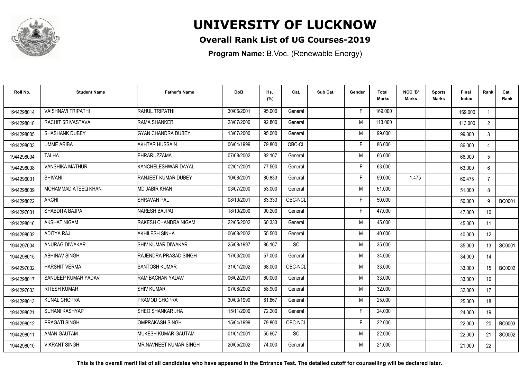

## **UNIVERSITY OF LUCKNOW**

## **Overall Rank List of UG Courses-2019**

**Program Name:** B.Voc. (Renewable Energy)

| Roll No.   | <b>Student Name</b>       | <b>Father's Name</b>           | <b>DoB</b> | Hs.<br>(%) | Cat.      | Sub Cat. | Gender | <b>Total</b><br>Marks | NCC 'B'<br><b>Marks</b> | <b>Sports</b><br><b>Marks</b> | Final<br>Index | Rank            | Cat.<br>Rank  |
|------------|---------------------------|--------------------------------|------------|------------|-----------|----------|--------|-----------------------|-------------------------|-------------------------------|----------------|-----------------|---------------|
| 1944298014 | <b>VAISHNAVI TRIPATHI</b> | <b>RAHUL TRIPATHI</b>          | 30/06/2001 | 95.000     | General   |          | F.     | 169.000               |                         |                               | 169.000        |                 |               |
| 1944298018 | RACHIT SRIVASTAVA         | <b>RAMA SHANKER</b>            | 28/07/2000 | 92.800     | General   |          | M      | 113.000               |                         |                               | 113.000        | $2^{\circ}$     |               |
| 1944298005 | <b>SHASHANK DUBEY</b>     | <b>GYAN CHANDRA DUBEY</b>      | 13/07/2000 | 95.000     | General   |          | M      | 99.000                |                         |                               | 99.000         | 3               |               |
| 1944298003 | <b>UMME ARIBA</b>         | <b>AKHTAR HUSSAIN</b>          | 06/04/1999 | 79.800     | OBC-CL    |          | F      | 86.000                |                         |                               | 86.000         | $\overline{4}$  |               |
| 1944298004 | <b>TALHA</b>              | <b>EHRARUZZAMA</b>             | 07/08/2002 | 82.167     | General   |          | M      | 66.000                |                         |                               | 66.000         | 5               |               |
| 1944298008 | <b>VANSHIKA MATHUR</b>    | KANCHELESHWAR DAYAL            | 02/01/2001 | 77.500     | General   |          | Е      | 63.000                |                         |                               | 63.000         | 6               |               |
| 1944296001 | <b>SHIVANI</b>            | <b>RANJEET KUMAR DUBEY</b>     | 10/08/2001 | 80.833     | General   |          | F      | 59.000                | 1.475                   |                               | 60.475         | $\overline{7}$  |               |
| 1944298009 | MOHAMMAD ATEEQ KHAN       | <b>MD JABIR KHAN</b>           | 03/07/2000 | 53.000     | General   |          | M      | 51.000                |                         |                               | 51.000         | 8               |               |
| 1944298022 | <b>ARCHI</b>              | SHRAVAN PAL                    | 08/10/2001 | 83.333     | OBC-NCL   |          | Е      | 50.000                |                         |                               | 50.000         | 9               | <b>BC0001</b> |
| 1944297001 | SHABDITA BAJPAI           | <b>NARESH BAJPAI</b>           | 18/10/2000 | 90.200     | General   |          | F      | 47.000                |                         |                               | 47.000         | 10 <sup>°</sup> |               |
| 1944298016 | <b>AKSHAT NIGAM</b>       | <b>IRAKESH CHANDRA NIGAM</b>   | 22/05/2002 | 60.333     | General   |          | M      | 45.000                |                         |                               | 45.000         | 11              |               |
| 1944298002 | ADITYA RAJ                | <b>AKHILESH SINHA</b>          | 06/08/2002 | 55.500     | General   |          | M      | 40.000                |                         |                               | 40.000         | 12              |               |
| 1944297004 | ANURAG DIWAKAR            | <b>ISHIV KUMAR DIWAKAR</b>     | 25/08/1997 | 86.167     | <b>SC</b> |          | M      | 35.000                |                         |                               | 35.000         | 13              | SC0001        |
| 1944298015 | <b>ABHINAV SINGH</b>      | <b>RAJENDRA PRASAD SINGH</b>   | 17/03/2000 | 57.000     | General   |          | M      | 34.000                |                         |                               | 34.000         | 14              |               |
| 1944297002 | <b>HARSHIT VERMA</b>      | <b>I</b> SANTOSH KUMAR         | 31/01/2002 | 68.000     | OBC-NCL   |          | M      | 33.000                |                         |                               | 33.000         | 15              | <b>BC0002</b> |
| 1944298017 | SANDEEP KUMAR YADAV       | <b>RAM BACHAN YADAV</b>        | 06/02/2001 | 60.000     | General   |          | M      | 33.000                |                         |                               | 33.000         | 16              |               |
| 1944297003 | <b>RITESH KUMAR</b>       | <b>ISHIV KUMAR</b>             | 07/08/2002 | 58.900     | General   |          | M      | 32.000                |                         |                               | 32.000         | 17              |               |
| 1944298013 | KUNAL CHOPRA              | <b>IPRAMOD CHOPRA</b>          | 30/03/1999 | 61.667     | General   |          | M      | 25.000                |                         |                               | 25.000         | 18              |               |
| 1944298021 | SUHANI KASHYAP            | <b>ISHEO SHANKAR JHA</b>       | 15/11/2000 | 72.200     | General   |          | F      | 24.000                |                         |                               | 24.000         | 19              |               |
| 1944298012 | PRAGATI SINGH             | IOMPRAKASH SINGH               | 15/04/1999 | 79.800     | OBC-NCL   |          | F      | 22,000                |                         |                               | 22.000         | 20              | <b>BC0003</b> |
| 1944298011 | AMAN GAUTAM               | <b>IMUKESH KUMAR GAUTAM</b>    | 01/01/2001 | 55.667     | <b>SC</b> |          | M      | 22,000                |                         |                               | 22.000         | 21              | SC0002        |
| 1944298010 | <b>VIKRANT SINGH</b>      | <b>IMR.NAVNEET KUMAR SINGH</b> | 20/05/2002 | 74.000     | General   |          | M      | 21.000                |                         |                               | 21.000         | 22              |               |

**This is the overall merit list of all candidates who have appeared in the Entrance Test. The detailed cutoff for counselling will be declared later.**